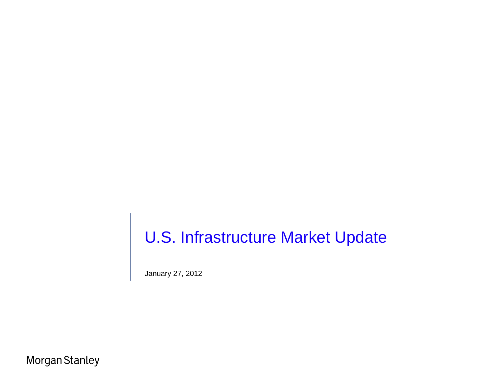# U.S. Infrastructure Market Update

January 27, 2012

Morgan Stanley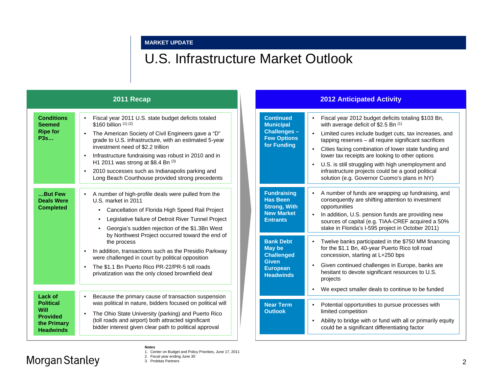#### **MARKET UPDATE**

### U.S. Infrastructure Market Outlook

|                                                                                                  | 2011 Recap                                                                                                                                                                                                                                                                                                                                                                                                                                                          | <b>2012 Anticipated Activity</b>                                                                                                                                                                                                                                                                                                                                                                                                                                                                                                                                                 |
|--------------------------------------------------------------------------------------------------|---------------------------------------------------------------------------------------------------------------------------------------------------------------------------------------------------------------------------------------------------------------------------------------------------------------------------------------------------------------------------------------------------------------------------------------------------------------------|----------------------------------------------------------------------------------------------------------------------------------------------------------------------------------------------------------------------------------------------------------------------------------------------------------------------------------------------------------------------------------------------------------------------------------------------------------------------------------------------------------------------------------------------------------------------------------|
| <b>Conditions</b><br><b>Seemed</b><br><b>Ripe for</b><br><b>P3s</b>                              | Fiscal year 2011 U.S. state budget deficits totaled<br>\$160 billion $(1)(2)$<br>The American Society of Civil Engineers gave a "D"<br>$\bullet$<br>grade to U.S. infrastructure, with an estimated 5-year<br>investment need of \$2.2 trillion<br>Infrastructure fundraising was robust in 2010 and in<br>H1 2011 was strong at \$8.4 Bn $(3)$<br>2010 successes such as Indianapolis parking and<br>$\bullet$<br>Long Beach Courthouse provided strong precedents | <b>Continued</b><br>Fiscal year 2012 budget deficits totaling \$103 Bn,<br>with average deficit of \$2.5 Bn (1)<br><b>Municipal</b><br>Challenges-<br>Limited cures include budget cuts, tax increases, and<br><b>Few Options</b><br>tapping reserves - all require significant sacrifices<br>for Funding<br>Cities facing combination of lower state funding and<br>lower tax receipts are looking to other options<br>U.S. is still struggling with high unemployment and<br>infrastructure projects could be a good political<br>solution (e.g. Governor Cuomo's plans in NY) |
| But Few<br><b>Deals Were</b><br><b>Completed</b>                                                 | A number of high-profile deals were pulled from the<br>U.S. market in 2011<br>Cancellation of Florida High Speed Rail Project<br>$\bullet$<br>Legislative failure of Detroit River Tunnel Project<br>Georgia's sudden rejection of the \$1.3Bn West<br>by Northwest Project occurred toward the end of                                                                                                                                                              | <b>Fundraising</b><br>A number of funds are wrapping up fundraising, and<br><b>Has Been</b><br>consequently are shifting attention to investment<br><b>Strong, With</b><br>opportunities<br><b>New Market</b><br>In addition, U.S. pension funds are providing new<br><b>Entrants</b><br>sources of capital (e.g. TIAA-CREF acquired a 50%<br>stake in Florida's I-595 project in October 2011)                                                                                                                                                                                  |
|                                                                                                  | the process<br><b>May be</b><br>In addition, transactions such as the Presidio Parkway<br>$\bullet$<br>were challenged in court by political opposition<br><b>Given</b><br>The \$1.1 Bn Puerto Rico PR-22/PR-5 toll roads<br>$\bullet$<br><b>European</b><br>privatization was the only closed brownfield deal                                                                                                                                                      | <b>Bank Debt</b><br>Twelve banks participated in the \$750 MM financing<br>for the \$1.1 Bn, 40-year Puerto Rico toll road<br><b>Challenged</b><br>concession, starting at L+250 bps<br>Given continued challenges in Europe, banks are<br>hesitant to devote significant resources to U.S.<br><b>Headwinds</b><br>projects                                                                                                                                                                                                                                                      |
| Lack of<br><b>Political</b><br><b>Will</b><br><b>Provided</b><br>the Primary<br><b>Headwinds</b> | Because the primary cause of transaction suspension<br>$\bullet$<br>was political in nature, bidders focused on political will<br>The Ohio State University (parking) and Puerto Rico<br>(toll roads and airport) both attracted significant<br>bidder interest given clear path to political approval                                                                                                                                                              | We expect smaller deals to continue to be funded<br><b>Near Term</b><br>Potential opportunities to pursue processes with<br><b>Outlook</b><br>limited competition<br>Ability to bridge with or fund with all or primarily equity<br>could be a significant differentiating factor                                                                                                                                                                                                                                                                                                |

**Notes** 1. Center on Budget and Policy Priorities, June 17, 2011

2. Fiscal year ending June 30 3. Probitas Partners

### Morgan Stanley

2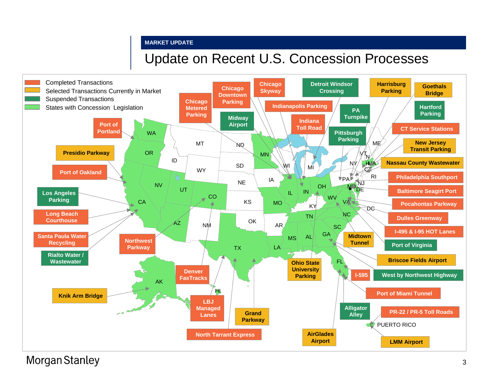### **MARKET UPDATE**

### Update on Recent U.S. Concession Processes



**Morgan Stanley**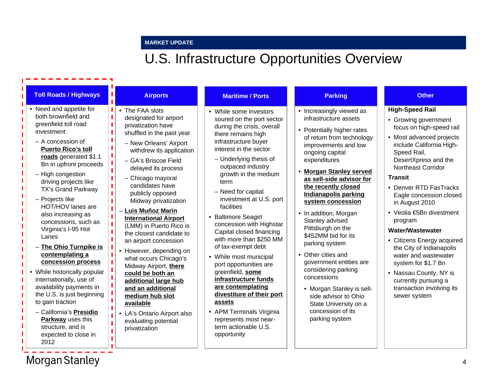### **MARKET UPDATE**

to gain traction

2012

– California's **Presidio Parkway** uses this structure, and is expected to close in

**Morgan Stanley** 

**available**

ш T.

п

privatization

• LA's Ontario Airport also evaluating potential

## U.S. Infrastructure Opportunities Overview

State University on a concession of its parking system

| <b>Toll Roads / Highways</b>                                                                                                                                                                                                                                                                                                                                                                                                                                                                                                                         | <b>Airports</b>                                                                                                                                                                                                                                                                                                                                                                                                                                                                                                                                  | <b>Maritime / Ports</b>                                                                                                                                                                                                                                                                                                                                                                                                                                                                                                                                                   | <b>Parking</b>                                                                                                                                                                                                                                                                                                                                                                                                                                                                                      | <b>Other</b>                                                                                                                                                                                                                                                                                                                                                                                                                                                                                                   |
|------------------------------------------------------------------------------------------------------------------------------------------------------------------------------------------------------------------------------------------------------------------------------------------------------------------------------------------------------------------------------------------------------------------------------------------------------------------------------------------------------------------------------------------------------|--------------------------------------------------------------------------------------------------------------------------------------------------------------------------------------------------------------------------------------------------------------------------------------------------------------------------------------------------------------------------------------------------------------------------------------------------------------------------------------------------------------------------------------------------|---------------------------------------------------------------------------------------------------------------------------------------------------------------------------------------------------------------------------------------------------------------------------------------------------------------------------------------------------------------------------------------------------------------------------------------------------------------------------------------------------------------------------------------------------------------------------|-----------------------------------------------------------------------------------------------------------------------------------------------------------------------------------------------------------------------------------------------------------------------------------------------------------------------------------------------------------------------------------------------------------------------------------------------------------------------------------------------------|----------------------------------------------------------------------------------------------------------------------------------------------------------------------------------------------------------------------------------------------------------------------------------------------------------------------------------------------------------------------------------------------------------------------------------------------------------------------------------------------------------------|
| • Need and appetite for<br>both brownfield and<br>greenfield toll road<br>investment<br>- A concession of<br><b>Puerto Rico's toll</b><br>roads generated \$1.1<br>Bn in upfront proceeds<br>- High congestion<br>driving projects like<br><b>TX's Grand Parkway</b><br>- Projects like<br>HOT/HOV lanes are<br>also increasing as<br>concessions, such as<br>Virginia's I-95 Hot<br>Lanes<br>- The Ohio Turnpike is<br>contemplating a<br>concession process<br>• While historically popular<br>internationally, use of<br>availability payments in | • The FAA slots<br>designated for airport<br>privatization have<br>shuffled in the past year<br>- New Orleans' Airport<br>withdrew its application<br>- GA's Briscoe Field<br>delayed its process<br>- Chicago mayoral<br>candidates have<br>publicly opposed<br>Midway privatization<br>Luis Muñoz Marin<br><b>International Airport</b><br>(LMM) in Puerto Rico is<br>the closest candidate to<br>an airport concession<br>However, depending on<br>what occurs Chicago's<br>Midway Airport, there<br>could be both an<br>additional large hub | • While some investors<br>soured on the port sector<br>during the crisis, overall<br>there remains high<br>infrastructure buyer<br>interest in the sector<br>- Underlying thesis of<br>outpaced industry<br>growth in the medium<br>term<br>- Need for capital<br>investment at U.S. port<br>facilities<br><b>Baltimore Seagirt</b><br>٠<br>concession with Highstar<br>Capital closed financing<br>with more than \$250 MM<br>of tax-exempt debt<br>While most municipal<br>٠<br>port opportunities are<br>greenfield, some<br>infrastructure funds<br>are contemplating | • Increasingly viewed as<br>infrastructure assets<br>• Potentially higher rates<br>of return from technology<br>improvements and low<br>ongoing capital<br>expenditures<br>• Morgan Stanley served<br>as sell-side advisor for<br>the recently closed<br>Indianapolis parking<br>system concession<br>• In addition, Morgan<br>Stanley advised<br>Pittsburgh on the<br>\$452MM bid for its<br>parking system<br>• Other cities and<br>government entities are<br>considering parking<br>concessions | <b>High-Speed Rail</b><br>• Growing government<br>focus on high-speed rail<br>• Most advanced projects<br>include California High-<br>Speed Rail,<br>DesertXpress and the<br>Northeast Corridor<br><b>Transit</b><br>• Denver RTD FasTracks<br>Eagle concession closed<br>in August 2010<br>• Veolia €5Bn divestment<br>program<br>Water/Wastewater<br>• Citizens Energy acquired<br>the City of Indianapolis<br>water and wastewater<br>system for \$1.7 Bn<br>• Nassau County, NY is<br>currently pursuing a |
| the U.S. is just beginning                                                                                                                                                                                                                                                                                                                                                                                                                                                                                                                           | and an additional<br>medium hub slot                                                                                                                                                                                                                                                                                                                                                                                                                                                                                                             | divestiture of their port                                                                                                                                                                                                                                                                                                                                                                                                                                                                                                                                                 | • Morgan Stanley is sell-<br>side advisor to Ohio                                                                                                                                                                                                                                                                                                                                                                                                                                                   | transaction involving its<br>sewer system                                                                                                                                                                                                                                                                                                                                                                                                                                                                      |

**assets**

opportunity

• APM Terminals Virginia represents most nearterm actionable U.S.

4